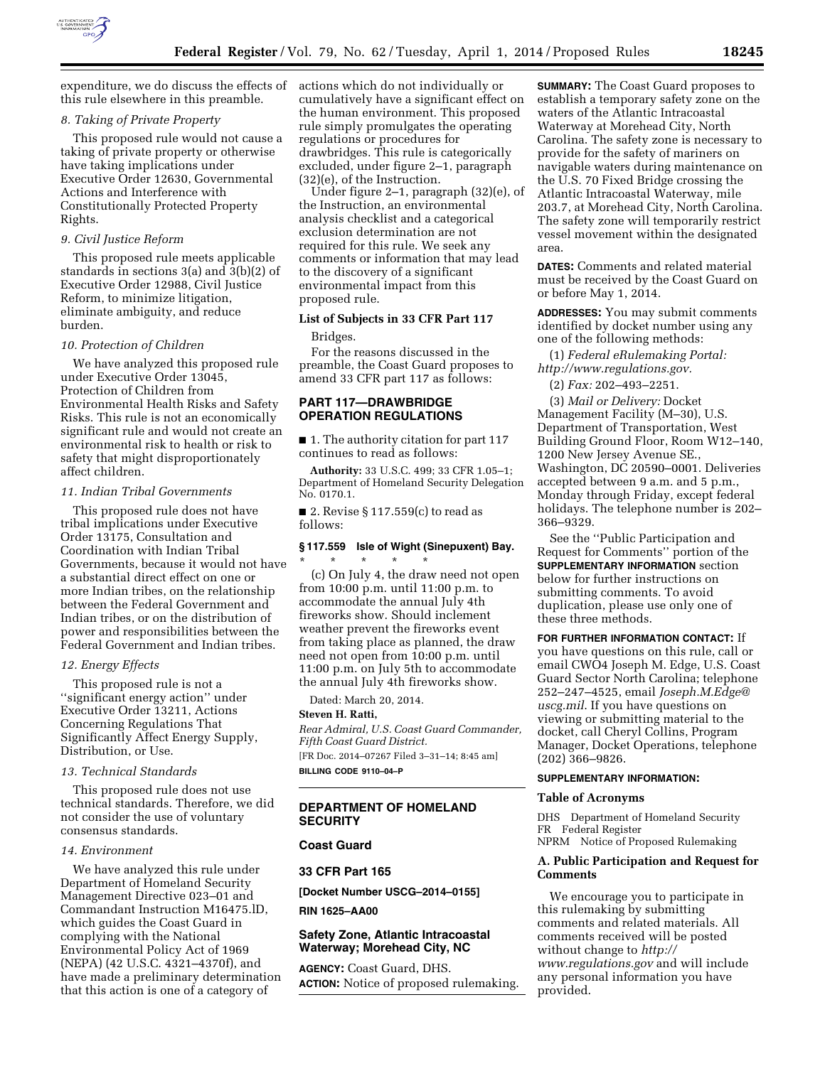

expenditure, we do discuss the effects of this rule elsewhere in this preamble.

## *8. Taking of Private Property*

This proposed rule would not cause a taking of private property or otherwise have taking implications under Executive Order 12630, Governmental Actions and Interference with Constitutionally Protected Property Rights.

#### *9. Civil Justice Reform*

This proposed rule meets applicable standards in sections 3(a) and 3(b)(2) of Executive Order 12988, Civil Justice Reform, to minimize litigation, eliminate ambiguity, and reduce burden.

#### *10. Protection of Children*

We have analyzed this proposed rule under Executive Order 13045, Protection of Children from Environmental Health Risks and Safety Risks. This rule is not an economically significant rule and would not create an environmental risk to health or risk to safety that might disproportionately affect children.

## *11. Indian Tribal Governments*

This proposed rule does not have tribal implications under Executive Order 13175, Consultation and Coordination with Indian Tribal Governments, because it would not have a substantial direct effect on one or more Indian tribes, on the relationship between the Federal Government and Indian tribes, or on the distribution of power and responsibilities between the Federal Government and Indian tribes.

#### *12. Energy Effects*

This proposed rule is not a ''significant energy action'' under Executive Order 13211, Actions Concerning Regulations That Significantly Affect Energy Supply, Distribution, or Use.

#### *13. Technical Standards*

This proposed rule does not use technical standards. Therefore, we did not consider the use of voluntary consensus standards.

#### *14. Environment*

We have analyzed this rule under Department of Homeland Security Management Directive 023–01 and Commandant Instruction M16475.lD, which guides the Coast Guard in complying with the National Environmental Policy Act of 1969 (NEPA) (42 U.S.C. 4321–4370f), and have made a preliminary determination that this action is one of a category of

actions which do not individually or cumulatively have a significant effect on the human environment. This proposed rule simply promulgates the operating regulations or procedures for drawbridges. This rule is categorically excluded, under figure 2–1, paragraph (32)(e), of the Instruction.

Under figure 2–1, paragraph (32)(e), of the Instruction, an environmental analysis checklist and a categorical exclusion determination are not required for this rule. We seek any comments or information that may lead to the discovery of a significant environmental impact from this proposed rule.

## **List of Subjects in 33 CFR Part 117**

#### Bridges.

For the reasons discussed in the preamble, the Coast Guard proposes to amend 33 CFR part 117 as follows:

## **PART 117—DRAWBRIDGE OPERATION REGULATIONS**

■ 1. The authority citation for part 117 continues to read as follows:

**Authority:** 33 U.S.C. 499; 33 CFR 1.05–1; Department of Homeland Security Delegation No. 0170.1.

■ 2. Revise § 117.559 $(c)$  to read as follows:

## **§ 117.559 Isle of Wight (Sinepuxent) Bay.**  \* \* \* \* \*

(c) On July 4, the draw need not open from 10:00 p.m. until 11:00 p.m. to accommodate the annual July 4th fireworks show. Should inclement weather prevent the fireworks event from taking place as planned, the draw need not open from 10:00 p.m. until 11:00 p.m. on July 5th to accommodate the annual July 4th fireworks show.

Dated: March 20, 2014.

#### **Steven H. Ratti,**

*Rear Admiral, U.S. Coast Guard Commander, Fifth Coast Guard District.*  [FR Doc. 2014–07267 Filed 3–31–14; 8:45 am] **BILLING CODE 9110–04–P** 

## **DEPARTMENT OF HOMELAND SECURITY**

### **Coast Guard**

## **33 CFR Part 165**

**[Docket Number USCG–2014–0155]** 

**RIN 1625–AA00** 

## **Safety Zone, Atlantic Intracoastal Waterway; Morehead City, NC**

**AGENCY:** Coast Guard, DHS. **ACTION:** Notice of proposed rulemaking. **SUMMARY:** The Coast Guard proposes to establish a temporary safety zone on the waters of the Atlantic Intracoastal Waterway at Morehead City, North Carolina. The safety zone is necessary to provide for the safety of mariners on navigable waters during maintenance on the U.S. 70 Fixed Bridge crossing the Atlantic Intracoastal Waterway, mile 203.7, at Morehead City, North Carolina. The safety zone will temporarily restrict vessel movement within the designated area.

**DATES:** Comments and related material must be received by the Coast Guard on or before May 1, 2014.

**ADDRESSES:** You may submit comments identified by docket number using any one of the following methods:

(1) *Federal eRulemaking Portal: [http://www.regulations.gov.](http://www.regulations.gov)* 

(2) *Fax:* 202–493–2251.

(3) *Mail or Delivery:* Docket Management Facility (M–30), U.S. Department of Transportation, West Building Ground Floor, Room W12–140, 1200 New Jersey Avenue SE., Washington, DC 20590–0001. Deliveries accepted between 9 a.m. and 5 p.m., Monday through Friday, except federal holidays. The telephone number is 202– 366–9329.

See the ''Public Participation and Request for Comments'' portion of the **SUPPLEMENTARY INFORMATION** section below for further instructions on submitting comments. To avoid duplication, please use only one of these three methods.

**FOR FURTHER INFORMATION CONTACT:** If you have questions on this rule, call or email CWO4 Joseph M. Edge, U.S. Coast Guard Sector North Carolina; telephone 252–247–4525, email *[Joseph.M.Edge@](mailto:Joseph.M.Edge@uscg.mil) [uscg.mil](mailto:Joseph.M.Edge@uscg.mil)*. If you have questions on viewing or submitting material to the docket, call Cheryl Collins, Program Manager, Docket Operations, telephone (202) 366–9826.

### **SUPPLEMENTARY INFORMATION:**

## **Table of Acronyms**

DHS Department of Homeland Security FR Federal Register NPRM Notice of Proposed Rulemaking

# **A. Public Participation and Request for Comments**

We encourage you to participate in this rulemaking by submitting comments and related materials. All comments received will be posted without change to *[http://](http://www.regulations.gov) [www.regulations.gov](http://www.regulations.gov)* and will include any personal information you have provided.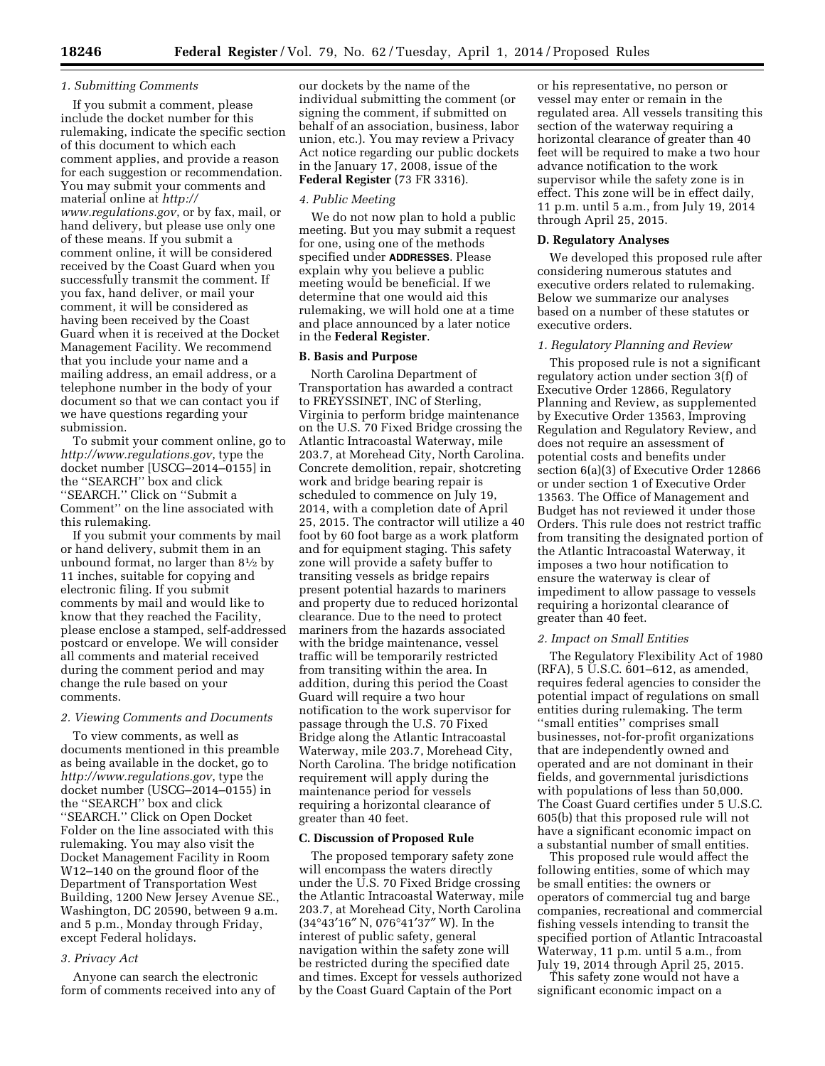## *1. Submitting Comments*

If you submit a comment, please include the docket number for this rulemaking, indicate the specific section of this document to which each comment applies, and provide a reason for each suggestion or recommendation. You may submit your comments and material online at *[http://](http://www.regulations.gov) [www.regulations.gov](http://www.regulations.gov)*, or by fax, mail, or hand delivery, but please use only one of these means. If you submit a comment online, it will be considered received by the Coast Guard when you successfully transmit the comment. If you fax, hand deliver, or mail your comment, it will be considered as having been received by the Coast Guard when it is received at the Docket Management Facility. We recommend that you include your name and a mailing address, an email address, or a telephone number in the body of your document so that we can contact you if we have questions regarding your submission.

To submit your comment online, go to *<http://www.regulations.gov>*, type the docket number [USCG–2014–0155] in the ''SEARCH'' box and click ''SEARCH.'' Click on ''Submit a Comment'' on the line associated with this rulemaking.

If you submit your comments by mail or hand delivery, submit them in an unbound format, no larger than  $8\frac{1}{2}$  by 11 inches, suitable for copying and electronic filing. If you submit comments by mail and would like to know that they reached the Facility, please enclose a stamped, self-addressed postcard or envelope. We will consider all comments and material received during the comment period and may change the rule based on your comments.

### *2. Viewing Comments and Documents*

To view comments, as well as documents mentioned in this preamble as being available in the docket, go to *<http://www.regulations.gov>*, type the docket number (USCG–2014–0155) in the ''SEARCH'' box and click ''SEARCH.'' Click on Open Docket Folder on the line associated with this rulemaking. You may also visit the Docket Management Facility in Room W12–140 on the ground floor of the Department of Transportation West Building, 1200 New Jersey Avenue SE., Washington, DC 20590, between 9 a.m. and 5 p.m., Monday through Friday, except Federal holidays.

### *3. Privacy Act*

Anyone can search the electronic form of comments received into any of

our dockets by the name of the individual submitting the comment (or signing the comment, if submitted on behalf of an association, business, labor union, etc.). You may review a Privacy Act notice regarding our public dockets in the January 17, 2008, issue of the **Federal Register** (73 FR 3316).

#### *4. Public Meeting*

We do not now plan to hold a public meeting. But you may submit a request for one, using one of the methods specified under **ADDRESSES**. Please explain why you believe a public meeting would be beneficial. If we determine that one would aid this rulemaking, we will hold one at a time and place announced by a later notice in the **Federal Register**.

#### **B. Basis and Purpose**

North Carolina Department of Transportation has awarded a contract to FREYSSINET, INC of Sterling, Virginia to perform bridge maintenance on the U.S. 70 Fixed Bridge crossing the Atlantic Intracoastal Waterway, mile 203.7, at Morehead City, North Carolina. Concrete demolition, repair, shotcreting work and bridge bearing repair is scheduled to commence on July 19, 2014, with a completion date of April 25, 2015. The contractor will utilize a 40 foot by 60 foot barge as a work platform and for equipment staging. This safety zone will provide a safety buffer to transiting vessels as bridge repairs present potential hazards to mariners and property due to reduced horizontal clearance. Due to the need to protect mariners from the hazards associated with the bridge maintenance, vessel traffic will be temporarily restricted from transiting within the area. In addition, during this period the Coast Guard will require a two hour notification to the work supervisor for passage through the U.S. 70 Fixed Bridge along the Atlantic Intracoastal Waterway, mile 203.7, Morehead City, North Carolina. The bridge notification requirement will apply during the maintenance period for vessels requiring a horizontal clearance of greater than 40 feet.

#### **C. Discussion of Proposed Rule**

The proposed temporary safety zone will encompass the waters directly under the U.S. 70 Fixed Bridge crossing the Atlantic Intracoastal Waterway, mile 203.7, at Morehead City, North Carolina (34°43′16″ N, 076°41′37″ W). In the interest of public safety, general navigation within the safety zone will be restricted during the specified date and times. Except for vessels authorized by the Coast Guard Captain of the Port

or his representative, no person or vessel may enter or remain in the regulated area. All vessels transiting this section of the waterway requiring a horizontal clearance of greater than 40 feet will be required to make a two hour advance notification to the work supervisor while the safety zone is in effect. This zone will be in effect daily, 11 p.m. until 5 a.m., from July 19, 2014 through April 25, 2015.

#### **D. Regulatory Analyses**

We developed this proposed rule after considering numerous statutes and executive orders related to rulemaking. Below we summarize our analyses based on a number of these statutes or executive orders.

### *1. Regulatory Planning and Review*

This proposed rule is not a significant regulatory action under section 3(f) of Executive Order 12866, Regulatory Planning and Review, as supplemented by Executive Order 13563, Improving Regulation and Regulatory Review, and does not require an assessment of potential costs and benefits under section 6(a)(3) of Executive Order 12866 or under section 1 of Executive Order 13563. The Office of Management and Budget has not reviewed it under those Orders. This rule does not restrict traffic from transiting the designated portion of the Atlantic Intracoastal Waterway, it imposes a two hour notification to ensure the waterway is clear of impediment to allow passage to vessels requiring a horizontal clearance of greater than 40 feet.

#### *2. Impact on Small Entities*

The Regulatory Flexibility Act of 1980 (RFA), 5 U.S.C. 601–612, as amended, requires federal agencies to consider the potential impact of regulations on small entities during rulemaking. The term ''small entities'' comprises small businesses, not-for-profit organizations that are independently owned and operated and are not dominant in their fields, and governmental jurisdictions with populations of less than 50,000. The Coast Guard certifies under 5 U.S.C. 605(b) that this proposed rule will not have a significant economic impact on a substantial number of small entities.

This proposed rule would affect the following entities, some of which may be small entities: the owners or operators of commercial tug and barge companies, recreational and commercial fishing vessels intending to transit the specified portion of Atlantic Intracoastal Waterway, 11 p.m. until 5 a.m., from July 19, 2014 through April 25, 2015.

This safety zone would not have a significant economic impact on a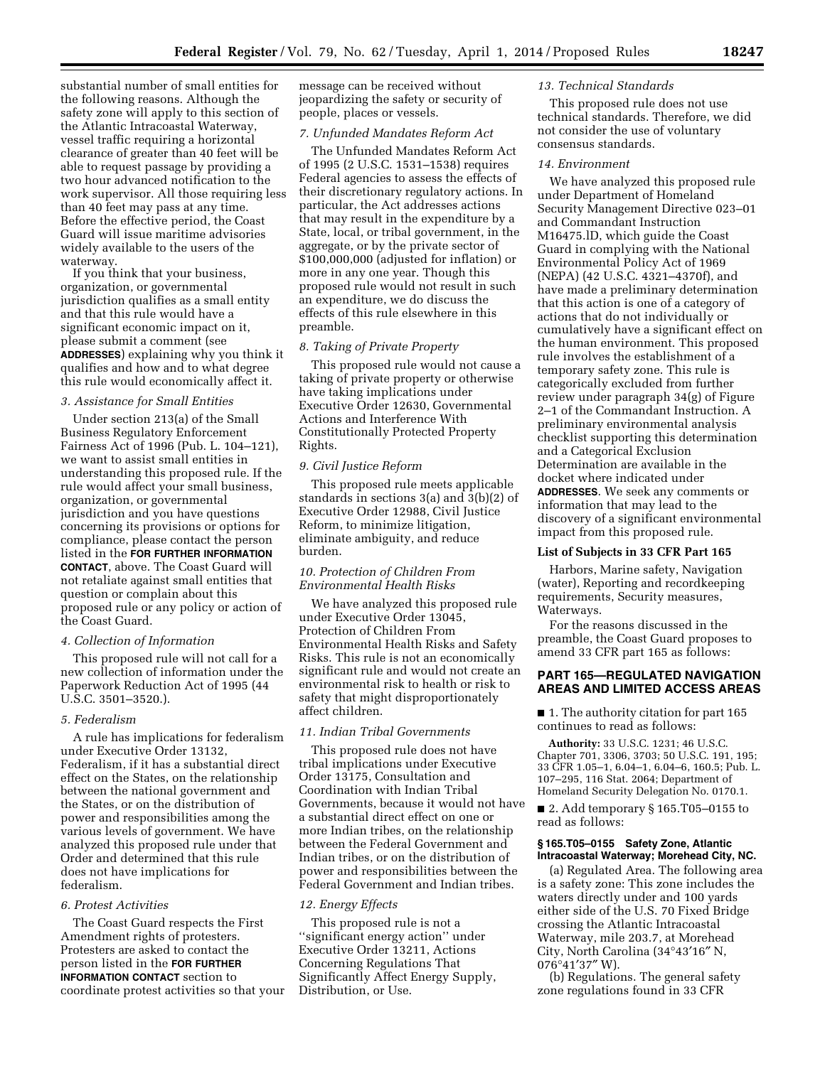substantial number of small entities for the following reasons. Although the safety zone will apply to this section of the Atlantic Intracoastal Waterway, vessel traffic requiring a horizontal clearance of greater than 40 feet will be able to request passage by providing a two hour advanced notification to the work supervisor. All those requiring less than 40 feet may pass at any time. Before the effective period, the Coast Guard will issue maritime advisories widely available to the users of the waterway.

If you think that your business, organization, or governmental jurisdiction qualifies as a small entity and that this rule would have a significant economic impact on it, please submit a comment (see **ADDRESSES**) explaining why you think it qualifies and how and to what degree this rule would economically affect it.

### *3. Assistance for Small Entities*

Under section 213(a) of the Small Business Regulatory Enforcement Fairness Act of 1996 (Pub. L. 104–121), we want to assist small entities in understanding this proposed rule. If the rule would affect your small business, organization, or governmental jurisdiction and you have questions concerning its provisions or options for compliance, please contact the person listed in the **FOR FURTHER INFORMATION CONTACT**, above. The Coast Guard will not retaliate against small entities that question or complain about this proposed rule or any policy or action of the Coast Guard.

## *4. Collection of Information*

This proposed rule will not call for a new collection of information under the Paperwork Reduction Act of 1995 (44 U.S.C. 3501–3520.).

#### *5. Federalism*

A rule has implications for federalism under Executive Order 13132, Federalism, if it has a substantial direct effect on the States, on the relationship between the national government and the States, or on the distribution of power and responsibilities among the various levels of government. We have analyzed this proposed rule under that Order and determined that this rule does not have implications for federalism.

### *6. Protest Activities*

The Coast Guard respects the First Amendment rights of protesters. Protesters are asked to contact the person listed in the **FOR FURTHER INFORMATION CONTACT** section to coordinate protest activities so that your message can be received without jeopardizing the safety or security of people, places or vessels.

### *7. Unfunded Mandates Reform Act*

The Unfunded Mandates Reform Act of 1995 (2 U.S.C. 1531–1538) requires Federal agencies to assess the effects of their discretionary regulatory actions. In particular, the Act addresses actions that may result in the expenditure by a State, local, or tribal government, in the aggregate, or by the private sector of \$100,000,000 (adjusted for inflation) or more in any one year. Though this proposed rule would not result in such an expenditure, we do discuss the effects of this rule elsewhere in this preamble.

### *8. Taking of Private Property*

This proposed rule would not cause a taking of private property or otherwise have taking implications under Executive Order 12630, Governmental Actions and Interference With Constitutionally Protected Property Rights.

### *9. Civil Justice Reform*

This proposed rule meets applicable standards in sections 3(a) and 3(b)(2) of Executive Order 12988, Civil Justice Reform, to minimize litigation, eliminate ambiguity, and reduce burden.

## *10. Protection of Children From Environmental Health Risks*

We have analyzed this proposed rule under Executive Order 13045, Protection of Children From Environmental Health Risks and Safety Risks. This rule is not an economically significant rule and would not create an environmental risk to health or risk to safety that might disproportionately affect children.

## *11. Indian Tribal Governments*

This proposed rule does not have tribal implications under Executive Order 13175, Consultation and Coordination with Indian Tribal Governments, because it would not have a substantial direct effect on one or more Indian tribes, on the relationship between the Federal Government and Indian tribes, or on the distribution of power and responsibilities between the Federal Government and Indian tribes.

#### *12. Energy Effects*

This proposed rule is not a ''significant energy action'' under Executive Order 13211, Actions Concerning Regulations That Significantly Affect Energy Supply, Distribution, or Use.

#### *13. Technical Standards*

This proposed rule does not use technical standards. Therefore, we did not consider the use of voluntary consensus standards.

### *14. Environment*

We have analyzed this proposed rule under Department of Homeland Security Management Directive 023–01 and Commandant Instruction M16475.lD, which guide the Coast Guard in complying with the National Environmental Policy Act of 1969 (NEPA) (42 U.S.C. 4321–4370f), and have made a preliminary determination that this action is one of a category of actions that do not individually or cumulatively have a significant effect on the human environment. This proposed rule involves the establishment of a temporary safety zone. This rule is categorically excluded from further review under paragraph 34(g) of Figure 2–1 of the Commandant Instruction. A preliminary environmental analysis checklist supporting this determination and a Categorical Exclusion Determination are available in the docket where indicated under **ADDRESSES**. We seek any comments or information that may lead to the discovery of a significant environmental impact from this proposed rule.

## **List of Subjects in 33 CFR Part 165**

Harbors, Marine safety, Navigation (water), Reporting and recordkeeping requirements, Security measures, Waterways.

For the reasons discussed in the preamble, the Coast Guard proposes to amend 33 CFR part 165 as follows:

## **PART 165—REGULATED NAVIGATION AREAS AND LIMITED ACCESS AREAS**

■ 1. The authority citation for part 165 continues to read as follows:

**Authority:** 33 U.S.C. 1231; 46 U.S.C. Chapter 701, 3306, 3703; 50 U.S.C. 191, 195; 33 CFR 1.05–1, 6.04–1, 6.04–6, 160.5; Pub. L. 107–295, 116 Stat. 2064; Department of Homeland Security Delegation No. 0170.1.

■ 2. Add temporary § 165.T05–0155 to read as follows:

## **§ 165.T05–0155 Safety Zone, Atlantic Intracoastal Waterway; Morehead City, NC.**

(a) Regulated Area. The following area is a safety zone: This zone includes the waters directly under and 100 yards either side of the U.S. 70 Fixed Bridge crossing the Atlantic Intracoastal Waterway, mile 203.7, at Morehead City, North Carolina (34°43′16″ N, 076°41′37″ W).

(b) Regulations. The general safety zone regulations found in 33 CFR